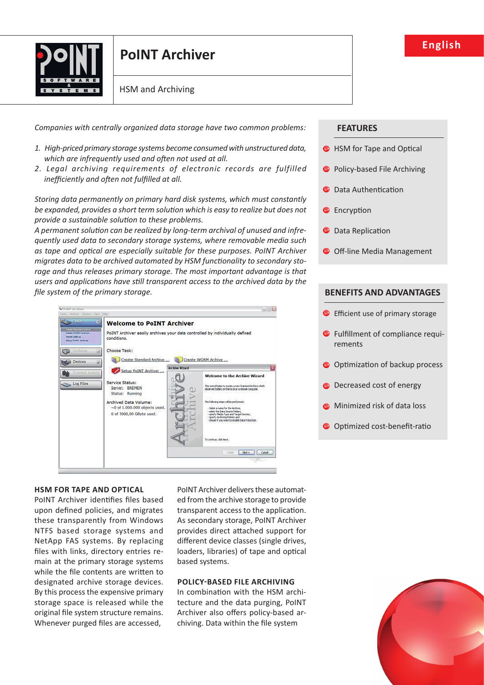

# **point archiver**

HSM and Archiving

*Companies with centrally organized data storage have two common problems:*

- *1. High-priced primary storage systems become consumed with unstructured data,*  which are infrequently used and often not used at all.
- *2. Legal archiving requirements of electronic records are fulfilled* inefficiently and often not fulfilled at all.

*Storing data permanently on primary hard disk systems, which must constantly*  be expanded, provides a short term solution which is easy to realize but does not *provide a sustainable solution to these problems.* 

A permanent solution can be realized by long-term archival of unused and infre*quently used data to secondary storage systems, where removable media such*  as tape and optical are especially suitable for these purposes. PoINT Archiver *migrates data to be archived automated by HSM functionality to secondary storage and thus releases primary storage. The most important advantage is that*  users and applications have still transparent access to the archived data by the *file system of the primary storage.* 



## **hSM for tape anD optical**

PoINT Archiver identifies files based upon defined policies, and migrates these transparently from Windows NTFS based storage systems and NetApp FAS systems. By replacing files with links, directory entries remain at the primary storage systems while the file contents are written to designated archive storage devices. By this process the expensive primary storage space is released while the original file system structure remains. Whenever purged files are accessed,

PoINT Archiver delivers these automated from the archive storage to provide transparent access to the application. As secondary storage, PoINT Archiver provides direct attached support for different device classes (single drives, loaders, libraries) of tape and optical based systems.

# **POliCY-BaSed file aRCHiVing**

In combination with the HSM architecture and the data purging, PoINT Archiver also offers policy-based archiving. Data within the file system

## **featureS**

- $\bullet$  HSM for Tape and Optical
- **Policy-based File Archiving**
- **O** Data Authentication
- **C** Encryption
- **O** Data Replication
- O Off-line Media Management

# **BenefitS and adVantageS**

- $\bullet$  Efficient use of primary storage
- $\bullet$  Fulfillment of compliance requirements
- $\bullet$  Optimization of backup process
- **O** Decreased cost of energy
- **C** Minimized risk of data loss
- $\bullet$  Optimized cost-benefit-ratio